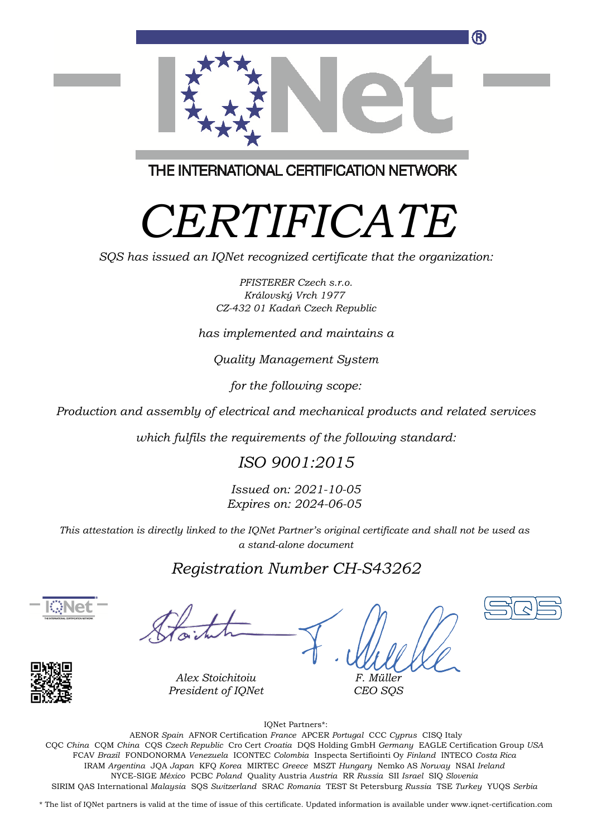

THE INTERNATIONAL CERTIFICATION NETWORK

# *CERTIFICATE*

*SQS has issued an IQNet recognized certificate that the organization:*

*PFISTERER Czech s.r.o. Královský Vrch 1977 CZ-432 01 Kadaň Czech Republic*

*has implemented and maintains a*

*Quality Management System*

*for the following scope:*

*Production and assembly of electrical and mechanical products and related services*

*which fulfils the requirements of the following standard:*

### *ISO 9001:2015*

*Issued on: 2021-10-05 Expires on: 2024-06-05*

*This attestation is directly linked to the IQNet Partner's original certificate and shall not be used as a stand-alone document*

### *Registration Number CH-S43262*



*F. Müller CEO SQS*



*Alex Stoichitoiu President of IQNet*

This annex is only valid in connection with the above-mentioned certificate. FCAV *Brazil* FONDONORMA *Venezuela* ICONTEC *Colombia* Inspecta Sertifiointi Oy *Finland* INTECO *Costa Rica* IQNet Partners\*: AENOR *Spain* AFNOR Certification *France* APCER *Portugal* CCC *Cyprus* CISQ Italy CQC *China* CQM *China* CQS *Czech Republic* Cro Cert *Croatia* DQS Holding GmbH *Germany* EAGLE Certification Group *USA* IRAM *Argentina* JQA *Japan* KFQ *Korea* MIRTEC *Greece* MSZT *Hungary* Nemko AS *Norway* NSAI *Ireland* NYCE-SIGE *México* PCBC *Poland* Quality Austria *Austria* RR *Russia* SII *Israel* SIQ *Slovenia* SIRIM QAS International *Malaysia* SQS *Switzerland* SRAC *Romania* TEST St Petersburg *Russia* TSE *Turkey* YUQS *Serbia*

\* The list of IQNet partners is valid at the time of issue of this certificate. Updated information is available under www.iqnet-certification.com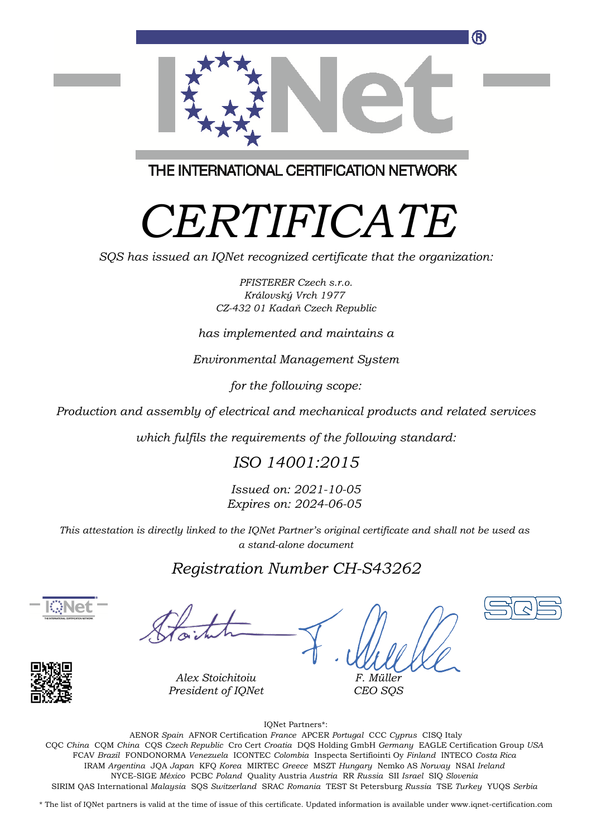

THE INTERNATIONAL CERTIFICATION NETWORK

# *CERTIFICATE*

*SQS has issued an IQNet recognized certificate that the organization:*

*PFISTERER Czech s.r.o. Královský Vrch 1977 CZ-432 01 Kadaň Czech Republic*

*has implemented and maintains a*

*Environmental Management System*

*for the following scope:*

*Production and assembly of electrical and mechanical products and related services*

*which fulfils the requirements of the following standard:*

### *ISO 14001:2015*

*Issued on: 2021-10-05 Expires on: 2024-06-05*

*This attestation is directly linked to the IQNet Partner's original certificate and shall not be used as a stand-alone document*

### *Registration Number CH-S43262*



*F. Müller CEO SQS*



*Alex Stoichitoiu President of IQNet*

IQNet Partners\*:

This annex is only valid in connection with the above-mentioned certificate. FCAV *Brazil* FONDONORMA *Venezuela* ICONTEC *Colombia* Inspecta Sertifiointi Oy *Finland* INTECO *Costa Rica* AENOR *Spain* AFNOR Certification *France* APCER *Portugal* CCC *Cyprus* CISQ Italy CQC *China* CQM *China* CQS *Czech Republic* Cro Cert *Croatia* DQS Holding GmbH *Germany* EAGLE Certification Group *USA* IRAM *Argentina* JQA *Japan* KFQ *Korea* MIRTEC *Greece* MSZT *Hungary* Nemko AS *Norway* NSAI *Ireland* NYCE-SIGE *México* PCBC *Poland* Quality Austria *Austria* RR *Russia* SII *Israel* SIQ *Slovenia* SIRIM QAS International *Malaysia* SQS *Switzerland* SRAC *Romania* TEST St Petersburg *Russia* TSE *Turkey* YUQS *Serbia*

\* The list of IQNet partners is valid at the time of issue of this certificate. Updated information is available under www.iqnet-certification.com